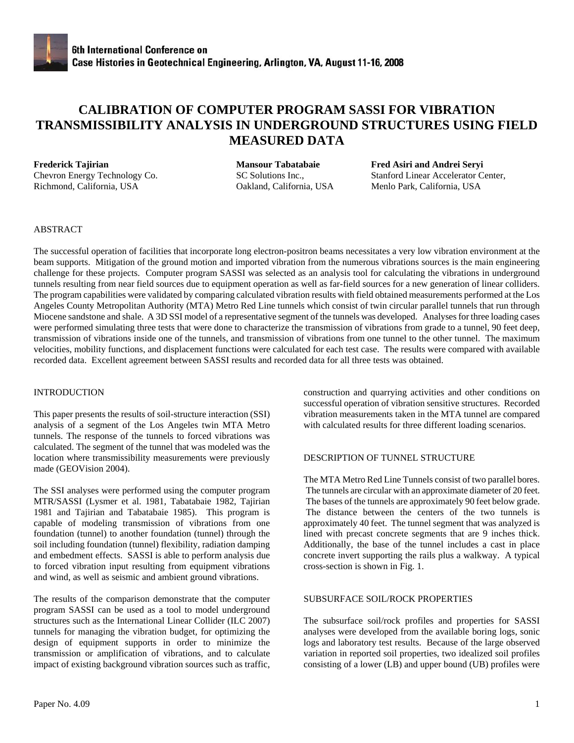# **CALIBRATION OF COMPUTER PROGRAM SASSI FOR VIBRATION TRANSMISSIBILITY ANALYSIS IN UNDERGROUND STRUCTURES USING FIELD MEASURED DATA**

Richmond, California, USA Oakland, California, USA Menlo Park, California, USA

**Frederick Tajirian Mansour Tabatabaie Fred Asiri and Andrei Seryi** Chevron Energy Technology Co. SC Solutions Inc., Stanford Linear Accelerator Center,

# ABSTRACT

The successful operation of facilities that incorporate long electron-positron beams necessitates a very low vibration environment at the beam supports. Mitigation of the ground motion and imported vibration from the numerous vibrations sources is the main engineering challenge for these projects. Computer program SASSI was selected as an analysis tool for calculating the vibrations in underground tunnels resulting from near field sources due to equipment operation as well as far-field sources for a new generation of linear colliders. The program capabilities were validated by comparing calculated vibration results with field obtained measurements performed at the Los Angeles County Metropolitan Authority (MTA) Metro Red Line tunnels which consist of twin circular parallel tunnels that run through Miocene sandstone and shale. A 3D SSI model of a representative segment of the tunnels was developed. Analyses for three loading cases were performed simulating three tests that were done to characterize the transmission of vibrations from grade to a tunnel, 90 feet deep, transmission of vibrations inside one of the tunnels, and transmission of vibrations from one tunnel to the other tunnel. The maximum velocities, mobility functions, and displacement functions were calculated for each test case. The results were compared with available recorded data. Excellent agreement between SASSI results and recorded data for all three tests was obtained.

# **INTRODUCTION**

This paper presents the results of soil-structure interaction (SSI) analysis of a segment of the Los Angeles twin MTA Metro tunnels. The response of the tunnels to forced vibrations was calculated. The segment of the tunnel that was modeled was the location where transmissibility measurements were previously made (GEOVision 2004).

The SSI analyses were performed using the computer program MTR/SASSI (Lysmer et al. 1981, Tabatabaie 1982, Tajirian 1981 and Tajirian and Tabatabaie 1985). This program is capable of modeling transmission of vibrations from one foundation (tunnel) to another foundation (tunnel) through the soil including foundation (tunnel) flexibility, radiation damping and embedment effects. SASSI is able to perform analysis due to forced vibration input resulting from equipment vibrations and wind, as well as seismic and ambient ground vibrations.

The results of the comparison demonstrate that the computer program SASSI can be used as a tool to model underground structures such as the International Linear Collider (ILC 2007) tunnels for managing the vibration budget, for optimizing the design of equipment supports in order to minimize the transmission or amplification of vibrations, and to calculate impact of existing background vibration sources such as traffic, construction and quarrying activities and other conditions on successful operation of vibration sensitive structures. Recorded vibration measurements taken in the MTA tunnel are compared with calculated results for three different loading scenarios.

### DESCRIPTION OF TUNNEL STRUCTURE

The MTA Metro Red Line Tunnels consist of two parallel bores. The tunnels are circular with an approximate diameter of 20 feet. The bases of the tunnels are approximately 90 feet below grade. The distance between the centers of the two tunnels is approximately 40 feet. The tunnel segment that was analyzed is lined with precast concrete segments that are 9 inches thick. Additionally, the base of the tunnel includes a cast in place concrete invert supporting the rails plus a walkway. A typical cross-section is shown in Fig. 1.

### SUBSURFACE SOIL/ROCK PROPERTIES

The subsurface soil/rock profiles and properties for SASSI analyses were developed from the available boring logs, sonic logs and laboratory test results. Because of the large observed variation in reported soil properties, two idealized soil profiles consisting of a lower (LB) and upper bound (UB) profiles were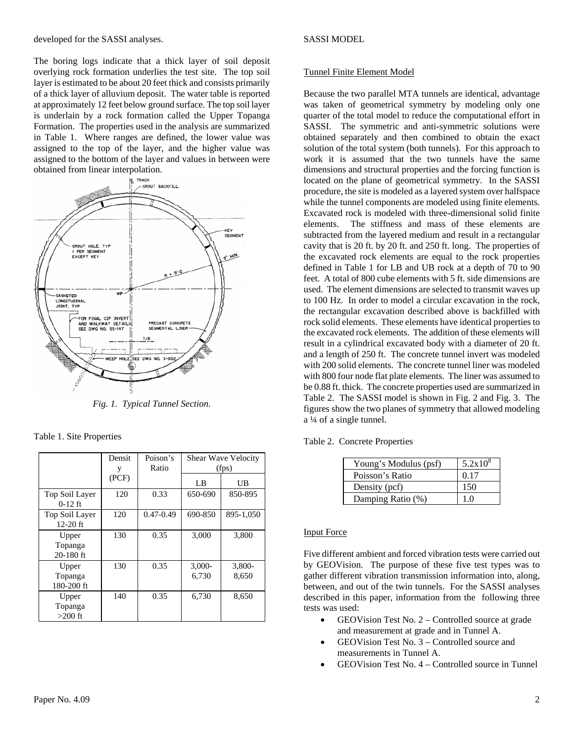developed for the SASSI analyses.

The boring logs indicate that a thick layer of soil deposit overlying rock formation underlies the test site. The top soil layer is estimated to be about 20 feet thick and consists primarily of a thick layer of alluvium deposit. The water table is reported at approximately 12 feet below ground surface. The top soil layer is underlain by a rock formation called the Upper Topanga Formation. The properties used in the analysis are summarized in Table 1. Where ranges are defined, the lower value was assigned to the top of the layer, and the higher value was assigned to the bottom of the layer and values in between were obtained from linear interpolation.



*Fig. 1. Typical Tunnel Section.* 

| Table 1. Site Properties |  |
|--------------------------|--|
|--------------------------|--|

|                                 | Densit | Poison's      | <b>Shear Wave Velocity</b> |                 |
|---------------------------------|--------|---------------|----------------------------|-----------------|
|                                 | y      | Ratio         | (fps)                      |                 |
|                                 | (PCF)  |               | LB                         | UB              |
| Top Soil Layer<br>$0-12$ ft     | 120    | 0.33          | 650-690                    | 850-895         |
| Top Soil Layer<br>$12-20$ ft    | 120    | $0.47 - 0.49$ | 690-850                    | 895-1,050       |
| Upper<br>Topanga<br>$20-180$ ft | 130    | 0.35          | 3,000                      | 3,800           |
| Upper<br>Topanga<br>180-200 ft  | 130    | 0.35          | $3,000-$<br>6.730          | 3,800-<br>8,650 |
| Upper<br>Topanga<br>$>200$ ft   | 140    | 0.35          | 6,730                      | 8,650           |

## SASSI MODEL

# Tunnel Finite Element Model

Because the two parallel MTA tunnels are identical, advantage was taken of geometrical symmetry by modeling only one quarter of the total model to reduce the computational effort in SASSI. The symmetric and anti-symmetric solutions were obtained separately and then combined to obtain the exact solution of the total system (both tunnels). For this approach to work it is assumed that the two tunnels have the same dimensions and structural properties and the forcing function is located on the plane of geometrical symmetry. In the SASSI procedure, the site is modeled as a layered system over halfspace while the tunnel components are modeled using finite elements. Excavated rock is modeled with three-dimensional solid finite elements. The stiffness and mass of these elements are subtracted from the layered medium and result in a rectangular cavity that is 20 ft. by 20 ft. and 250 ft. long. The properties of the excavated rock elements are equal to the rock properties defined in Table 1 for LB and UB rock at a depth of 70 to 90 feet. A total of 800 cube elements with 5 ft. side dimensions are used. The element dimensions are selected to transmit waves up to 100 Hz. In order to model a circular excavation in the rock, the rectangular excavation described above is backfilled with rock solid elements. These elements have identical properties to the excavated rock elements. The addition of these elements will result in a cylindrical excavated body with a diameter of 20 ft. and a length of 250 ft. The concrete tunnel invert was modeled with 200 solid elements. The concrete tunnel liner was modeled with 800 four node flat plate elements. The liner was assumed to be 0.88 ft. thick. The concrete properties used are summarized in Table 2. The SASSI model is shown in Fig. 2 and Fig. 3. The figures show the two planes of symmetry that allowed modeling a ¼ of a single tunnel.

Table 2. Concrete Properties

| Young's Modulus (psf) | $5.2x10^{8}$ |
|-----------------------|--------------|
| Poisson's Ratio       | 0.17         |
| Density (pcf)         | 150          |
| Damping Ratio (%)     | 1 ∩          |

### Input Force

Five different ambient and forced vibration tests were carried out by GEOVision. The purpose of these five test types was to gather different vibration transmission information into, along, between, and out of the twin tunnels. For the SASSI analyses described in this paper, information from the following three tests was used:

- GEOVision Test No. 2 Controlled source at grade and measurement at grade and in Tunnel A.
- GEOVision Test No. 3 Controlled source and measurements in Tunnel A.
- GEOVision Test No. 4 Controlled source in Tunnel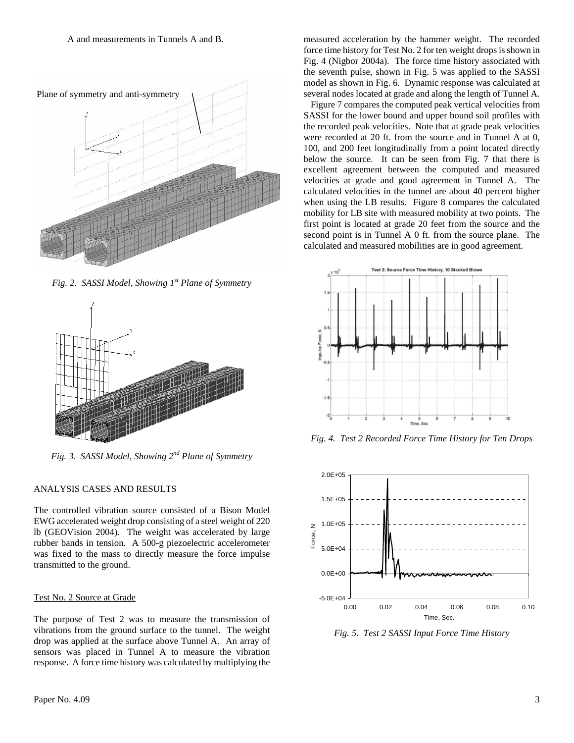

*Fig. 2. SASSI Model, Showing 1st Plane of Symmetry* 



*Fig. 3. SASSI Model, Showing 2nd Plane of Symmetry* 

# ANALYSIS CASES AND RESULTS

The controlled vibration source consisted of a Bison Model EWG accelerated weight drop consisting of a steel weight of 220 lb (GEOVision 2004). The weight was accelerated by large rubber bands in tension. A 500-g piezoelectric accelerometer was fixed to the mass to directly measure the force impulse transmitted to the ground.

# Test No. 2 Source at Grade

The purpose of Test 2 was to measure the transmission of vibrations from the ground surface to the tunnel. The weight drop was applied at the surface above Tunnel A. An array of sensors was placed in Tunnel A to measure the vibration response. A force time history was calculated by multiplying the measured acceleration by the hammer weight. The recorded force time history for Test No. 2 for ten weight drops is shown in Fig. 4 (Nigbor 2004a). The force time history associated with the seventh pulse, shown in Fig. 5 was applied to the SASSI model as shown in Fig. 6. Dynamic response was calculated at several nodes located at grade and along the length of Tunnel A.

 Figure 7 compares the computed peak vertical velocities from SASSI for the lower bound and upper bound soil profiles with the recorded peak velocities. Note that at grade peak velocities were recorded at 20 ft. from the source and in Tunnel A at 0, 100, and 200 feet longitudinally from a point located directly below the source. It can be seen from Fig. 7 that there is excellent agreement between the computed and measured velocities at grade and good agreement in Tunnel A. The calculated velocities in the tunnel are about 40 percent higher when using the LB results. Figure 8 compares the calculated mobility for LB site with measured mobility at two points. The first point is located at grade 20 feet from the source and the second point is in Tunnel A 0 ft. from the source plane. The calculated and measured mobilities are in good agreement.



*Fig. 4. Test 2 Recorded Force Time History for Ten Drops* 



*Fig. 5. Test 2 SASSI Input Force Time History*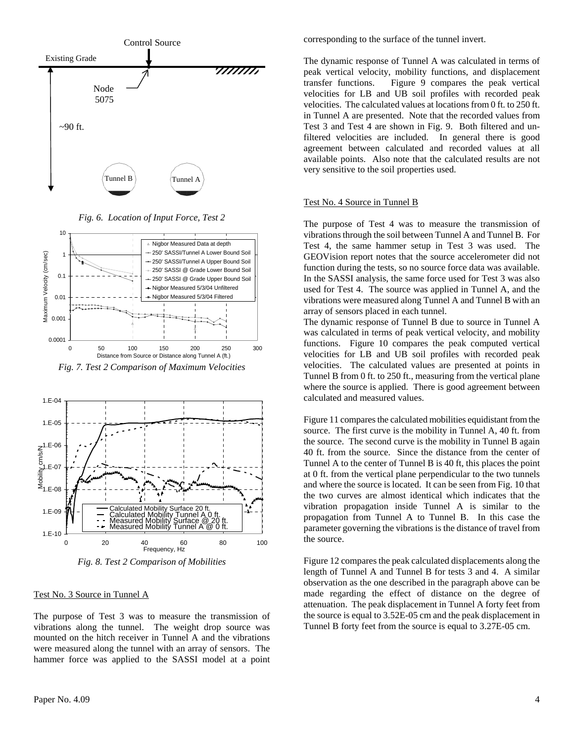

*Fig. 6. Location of Input Force, Test 2* 



*Fig. 7. Test 2 Comparison of Maximum Velocities* 



*Fig. 8. Test 2 Comparison of Mobilities* 

#### Test No. 3 Source in Tunnel A

The purpose of Test 3 was to measure the transmission of vibrations along the tunnel. The weight drop source was mounted on the hitch receiver in Tunnel A and the vibrations were measured along the tunnel with an array of sensors. The hammer force was applied to the SASSI model at a point corresponding to the surface of the tunnel invert.

The dynamic response of Tunnel A was calculated in terms of peak vertical velocity, mobility functions, and displacement transfer functions. Figure 9 compares the peak vertical velocities for LB and UB soil profiles with recorded peak velocities. The calculated values at locations from 0 ft. to 250 ft. in Tunnel A are presented. Note that the recorded values from Test 3 and Test 4 are shown in Fig. 9. Both filtered and unfiltered velocities are included. In general there is good agreement between calculated and recorded values at all available points. Also note that the calculated results are not very sensitive to the soil properties used.

#### Test No. 4 Source in Tunnel B

The purpose of Test 4 was to measure the transmission of vibrations through the soil between Tunnel A and Tunnel B. For Test 4, the same hammer setup in Test 3 was used. The GEOVision report notes that the source accelerometer did not function during the tests, so no source force data was available. In the SASSI analysis, the same force used for Test 3 was also used for Test 4. The source was applied in Tunnel A, and the vibrations were measured along Tunnel A and Tunnel B with an array of sensors placed in each tunnel.

The dynamic response of Tunnel B due to source in Tunnel A was calculated in terms of peak vertical velocity, and mobility functions. Figure 10 compares the peak computed vertical velocities for LB and UB soil profiles with recorded peak velocities. The calculated values are presented at points in Tunnel B from 0 ft. to 250 ft., measuring from the vertical plane where the source is applied. There is good agreement between calculated and measured values.

Figure 11 compares the calculated mobilities equidistant from the source. The first curve is the mobility in Tunnel A, 40 ft. from the source. The second curve is the mobility in Tunnel B again 40 ft. from the source. Since the distance from the center of Tunnel A to the center of Tunnel B is 40 ft, this places the point at 0 ft. from the vertical plane perpendicular to the two tunnels and where the source is located. It can be seen from Fig. 10 that the two curves are almost identical which indicates that the vibration propagation inside Tunnel A is similar to the propagation from Tunnel A to Tunnel B. In this case the parameter governing the vibrations is the distance of travel from the source.

Figure 12 compares the peak calculated displacements along the length of Tunnel A and Tunnel B for tests 3 and 4. A similar observation as the one described in the paragraph above can be made regarding the effect of distance on the degree of attenuation. The peak displacement in Tunnel A forty feet from the source is equal to 3.52E-05 cm and the peak displacement in Tunnel B forty feet from the source is equal to 3.27E-05 cm.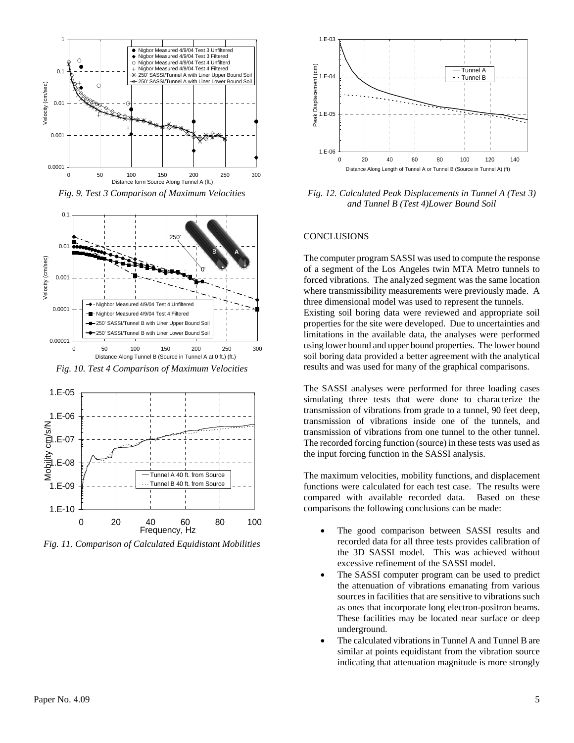

*Fig. 9. Test 3 Comparison of Maximum Velocities* 



*Fig. 10. Test 4 Comparison of Maximum Velocities* 



*Fig. 11. Comparison of Calculated Equidistant Mobilities* 



*Fig. 12. Calculated Peak Displacements in Tunnel A (Test 3) and Tunnel B (Test 4)Lower Bound Soil* 

#### **CONCLUSIONS**

The computer program SASSI was used to compute the response of a segment of the Los Angeles twin MTA Metro tunnels to forced vibrations. The analyzed segment was the same location where transmissibility measurements were previously made. A three dimensional model was used to represent the tunnels. Existing soil boring data were reviewed and appropriate soil properties for the site were developed. Due to uncertainties and limitations in the available data, the analyses were performed using lower bound and upper bound properties. The lower bound soil boring data provided a better agreement with the analytical results and was used for many of the graphical comparisons.

The SASSI analyses were performed for three loading cases simulating three tests that were done to characterize the transmission of vibrations from grade to a tunnel, 90 feet deep, transmission of vibrations inside one of the tunnels, and transmission of vibrations from one tunnel to the other tunnel. The recorded forcing function (source) in these tests was used as the input forcing function in the SASSI analysis.

The maximum velocities, mobility functions, and displacement functions were calculated for each test case. The results were compared with available recorded data. Based on these comparisons the following conclusions can be made:

- The good comparison between SASSI results and recorded data for all three tests provides calibration of the 3D SASSI model. This was achieved without excessive refinement of the SASSI model.
- The SASSI computer program can be used to predict the attenuation of vibrations emanating from various sources in facilities that are sensitive to vibrations such as ones that incorporate long electron-positron beams. These facilities may be located near surface or deep underground.
- The calculated vibrations in Tunnel A and Tunnel B are similar at points equidistant from the vibration source indicating that attenuation magnitude is more strongly